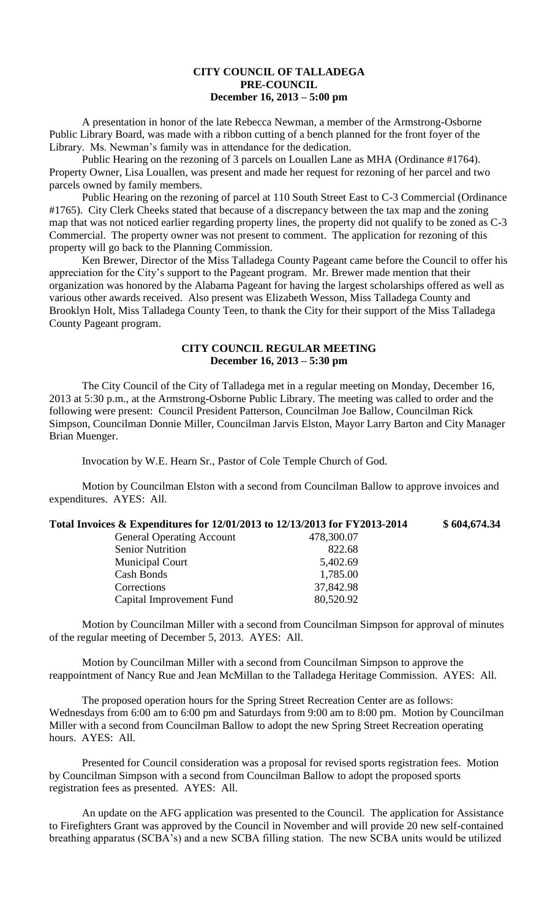## **CITY COUNCIL OF TALLADEGA PRE-COUNCIL December 16, 2013 – 5:00 pm**

A presentation in honor of the late Rebecca Newman, a member of the Armstrong-Osborne Public Library Board, was made with a ribbon cutting of a bench planned for the front foyer of the Library. Ms. Newman's family was in attendance for the dedication.

Public Hearing on the rezoning of 3 parcels on Louallen Lane as MHA (Ordinance #1764). Property Owner, Lisa Louallen, was present and made her request for rezoning of her parcel and two parcels owned by family members.

Public Hearing on the rezoning of parcel at 110 South Street East to C-3 Commercial (Ordinance #1765). City Clerk Cheeks stated that because of a discrepancy between the tax map and the zoning map that was not noticed earlier regarding property lines, the property did not qualify to be zoned as C-3 Commercial. The property owner was not present to comment. The application for rezoning of this property will go back to the Planning Commission.

Ken Brewer, Director of the Miss Talladega County Pageant came before the Council to offer his appreciation for the City's support to the Pageant program. Mr. Brewer made mention that their organization was honored by the Alabama Pageant for having the largest scholarships offered as well as various other awards received. Also present was Elizabeth Wesson, Miss Talladega County and Brooklyn Holt, Miss Talladega County Teen, to thank the City for their support of the Miss Talladega County Pageant program.

## **CITY COUNCIL REGULAR MEETING December 16, 2013 – 5:30 pm**

The City Council of the City of Talladega met in a regular meeting on Monday, December 16, 2013 at 5:30 p.m., at the Armstrong-Osborne Public Library. The meeting was called to order and the following were present: Council President Patterson, Councilman Joe Ballow, Councilman Rick Simpson, Councilman Donnie Miller, Councilman Jarvis Elston, Mayor Larry Barton and City Manager Brian Muenger.

Invocation by W.E. Hearn Sr., Pastor of Cole Temple Church of God.

Capital Improvement Fund 80,520.92

Motion by Councilman Elston with a second from Councilman Ballow to approve invoices and expenditures. AYES: All.

| Total Invoices & Expenditures for 12/01/2013 to 12/13/2013 for FY2013-2014 |            | \$604,674.34 |
|----------------------------------------------------------------------------|------------|--------------|
| <b>General Operating Account</b>                                           | 478,300.07 |              |
| <b>Senior Nutrition</b>                                                    | 822.68     |              |
| <b>Municipal Court</b>                                                     | 5,402.69   |              |
| Cash Bonds                                                                 | 1,785.00   |              |
| Corrections                                                                | 37,842.98  |              |

Motion by Councilman Miller with a second from Councilman Simpson for approval of minutes of the regular meeting of December 5, 2013. AYES: All.

Motion by Councilman Miller with a second from Councilman Simpson to approve the reappointment of Nancy Rue and Jean McMillan to the Talladega Heritage Commission. AYES: All.

The proposed operation hours for the Spring Street Recreation Center are as follows: Wednesdays from 6:00 am to 6:00 pm and Saturdays from 9:00 am to 8:00 pm. Motion by Councilman Miller with a second from Councilman Ballow to adopt the new Spring Street Recreation operating hours. AYES: All.

Presented for Council consideration was a proposal for revised sports registration fees. Motion by Councilman Simpson with a second from Councilman Ballow to adopt the proposed sports registration fees as presented. AYES: All.

An update on the AFG application was presented to the Council. The application for Assistance to Firefighters Grant was approved by the Council in November and will provide 20 new self-contained breathing apparatus (SCBA's) and a new SCBA filling station. The new SCBA units would be utilized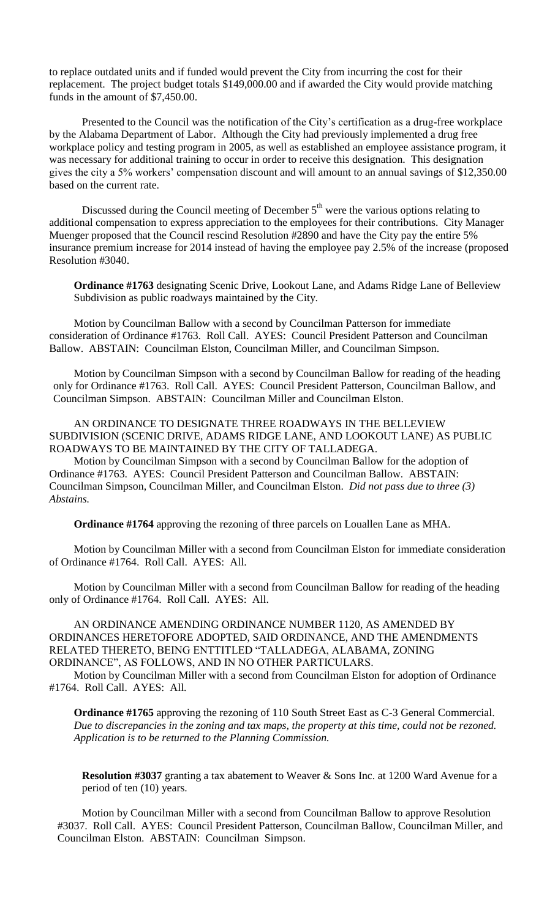to replace outdated units and if funded would prevent the City from incurring the cost for their replacement. The project budget totals \$149,000.00 and if awarded the City would provide matching funds in the amount of \$7,450.00.

Presented to the Council was the notification of the City's certification as a drug-free workplace by the Alabama Department of Labor. Although the City had previously implemented a drug free workplace policy and testing program in 2005, as well as established an employee assistance program, it was necessary for additional training to occur in order to receive this designation. This designation gives the city a 5% workers' compensation discount and will amount to an annual savings of \$12,350.00 based on the current rate.

Discussed during the Council meeting of December  $5<sup>th</sup>$  were the various options relating to additional compensation to express appreciation to the employees for their contributions. City Manager Muenger proposed that the Council rescind Resolution #2890 and have the City pay the entire 5% insurance premium increase for 2014 instead of having the employee pay 2.5% of the increase (proposed Resolution #3040.

**Ordinance #1763** designating Scenic Drive, Lookout Lane, and Adams Ridge Lane of Belleview Subdivision as public roadways maintained by the City.

Motion by Councilman Ballow with a second by Councilman Patterson for immediate consideration of Ordinance #1763. Roll Call. AYES: Council President Patterson and Councilman Ballow. ABSTAIN: Councilman Elston, Councilman Miller, and Councilman Simpson.

Motion by Councilman Simpson with a second by Councilman Ballow for reading of the heading only for Ordinance #1763. Roll Call. AYES: Council President Patterson, Councilman Ballow, and Councilman Simpson. ABSTAIN: Councilman Miller and Councilman Elston.

AN ORDINANCE TO DESIGNATE THREE ROADWAYS IN THE BELLEVIEW SUBDIVISION (SCENIC DRIVE, ADAMS RIDGE LANE, AND LOOKOUT LANE) AS PUBLIC ROADWAYS TO BE MAINTAINED BY THE CITY OF TALLADEGA.

Motion by Councilman Simpson with a second by Councilman Ballow for the adoption of Ordinance #1763. AYES: Council President Patterson and Councilman Ballow. ABSTAIN: Councilman Simpson, Councilman Miller, and Councilman Elston. *Did not pass due to three (3) Abstains.*

**Ordinance #1764** approving the rezoning of three parcels on Louallen Lane as MHA.

Motion by Councilman Miller with a second from Councilman Elston for immediate consideration of Ordinance #1764. Roll Call. AYES: All.

Motion by Councilman Miller with a second from Councilman Ballow for reading of the heading only of Ordinance #1764. Roll Call. AYES: All.

AN ORDINANCE AMENDING ORDINANCE NUMBER 1120, AS AMENDED BY ORDINANCES HERETOFORE ADOPTED, SAID ORDINANCE, AND THE AMENDMENTS RELATED THERETO, BEING ENTTITLED "TALLADEGA, ALABAMA, ZONING ORDINANCE", AS FOLLOWS, AND IN NO OTHER PARTICULARS.

Motion by Councilman Miller with a second from Councilman Elston for adoption of Ordinance #1764. Roll Call. AYES: All.

**Ordinance #1765** approving the rezoning of 110 South Street East as C-3 General Commercial. *Due to discrepancies in the zoning and tax maps, the property at this time, could not be rezoned. Application is to be returned to the Planning Commission.*

**Resolution #3037** granting a tax abatement to Weaver & Sons Inc. at 1200 Ward Avenue for a period of ten (10) years.

Motion by Councilman Miller with a second from Councilman Ballow to approve Resolution #3037. Roll Call. AYES: Council President Patterson, Councilman Ballow, Councilman Miller, and Councilman Elston. ABSTAIN: Councilman Simpson.